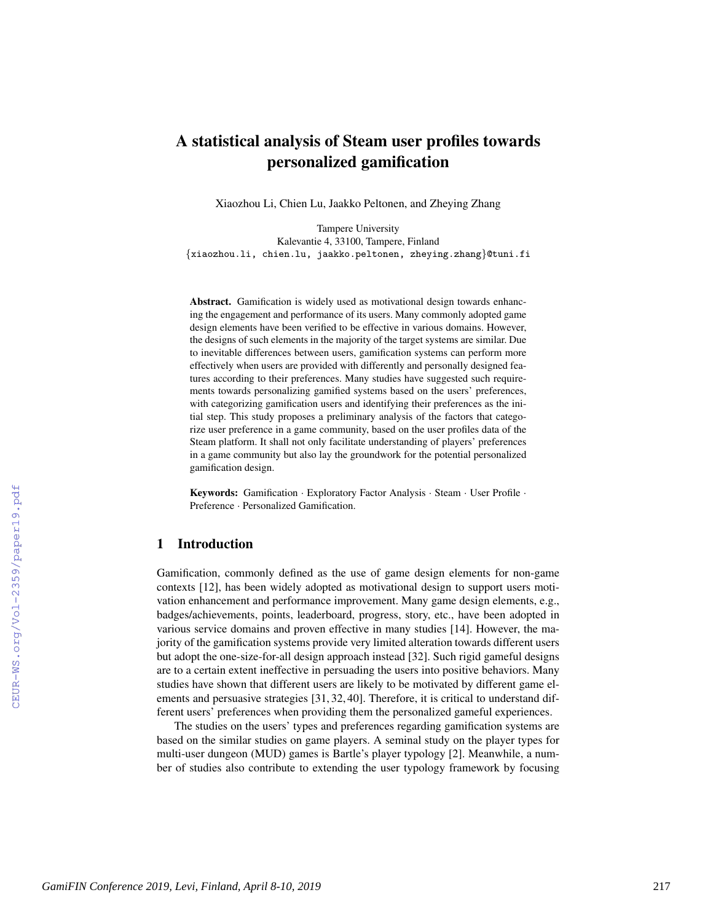# A statistical analysis of Steam user profiles towards personalized gamification

Xiaozhou Li, Chien Lu, Jaakko Peltonen, and Zheying Zhang

Tampere University Kalevantie 4, 33100, Tampere, Finland {xiaozhou.li, chien.lu, jaakko.peltonen, zheying.zhang}@tuni.fi

Abstract. Gamification is widely used as motivational design towards enhancing the engagement and performance of its users. Many commonly adopted game design elements have been verified to be effective in various domains. However, the designs of such elements in the majority of the target systems are similar. Due to inevitable differences between users, gamification systems can perform more effectively when users are provided with differently and personally designed features according to their preferences. Many studies have suggested such requirements towards personalizing gamified systems based on the users' preferences, with categorizing gamification users and identifying their preferences as the initial step. This study proposes a preliminary analysis of the factors that categorize user preference in a game community, based on the user profiles data of the Steam platform. It shall not only facilitate understanding of players' preferences in a game community but also lay the groundwork for the potential personalized gamification design.

Keywords: Gamification · Exploratory Factor Analysis · Steam · User Profile · Preference · Personalized Gamification.

# 1 Introduction

Gamification, commonly defined as the use of game design elements for non-game contexts [12], has been widely adopted as motivational design to support users motivation enhancement and performance improvement. Many game design elements, e.g., badges/achievements, points, leaderboard, progress, story, etc., have been adopted in various service domains and proven effective in many studies [14]. However, the majority of the gamification systems provide very limited alteration towards different users but adopt the one-size-for-all design approach instead [32]. Such rigid gameful designs are to a certain extent ineffective in persuading the users into positive behaviors. Many studies have shown that different users are likely to be motivated by different game elements and persuasive strategies [31, 32, 40]. Therefore, it is critical to understand different users' preferences when providing them the personalized gameful experiences.

The studies on the users' types and preferences regarding gamification systems are based on the similar studies on game players. A seminal study on the player types for multi-user dungeon (MUD) games is Bartle's player typology [2]. Meanwhile, a number of studies also contribute to extending the user typology framework by focusing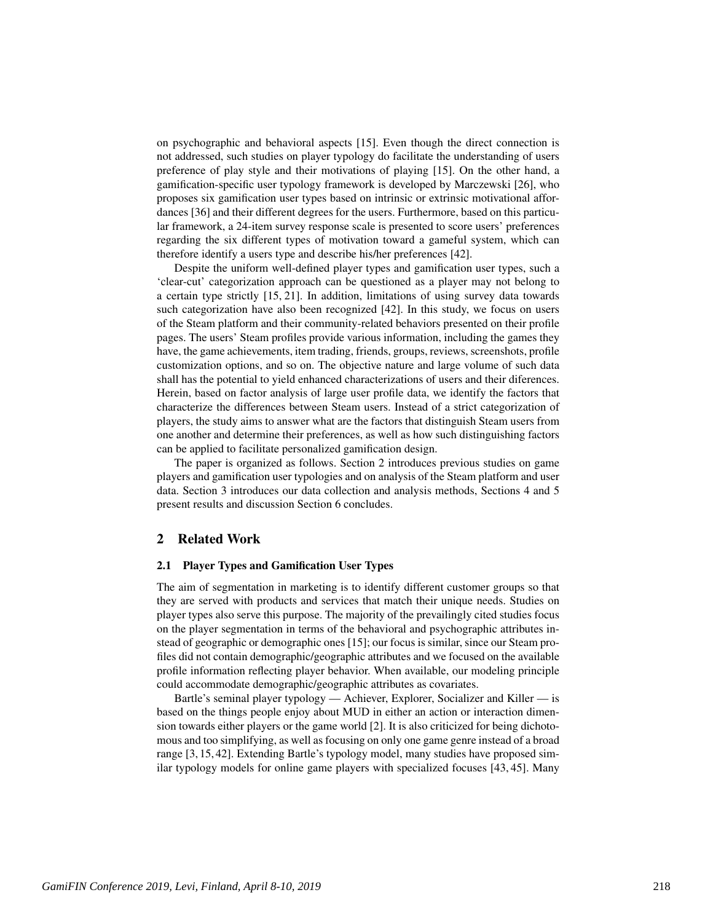on psychographic and behavioral aspects [15]. Even though the direct connection is not addressed, such studies on player typology do facilitate the understanding of users preference of play style and their motivations of playing [15]. On the other hand, a gamification-specific user typology framework is developed by Marczewski [26], who proposes six gamification user types based on intrinsic or extrinsic motivational affordances [36] and their different degrees for the users. Furthermore, based on this particular framework, a 24-item survey response scale is presented to score users' preferences regarding the six different types of motivation toward a gameful system, which can therefore identify a users type and describe his/her preferences [42].

Despite the uniform well-defined player types and gamification user types, such a 'clear-cut' categorization approach can be questioned as a player may not belong to a certain type strictly [15, 21]. In addition, limitations of using survey data towards such categorization have also been recognized [42]. In this study, we focus on users of the Steam platform and their community-related behaviors presented on their profile pages. The users' Steam profiles provide various information, including the games they have, the game achievements, item trading, friends, groups, reviews, screenshots, profile customization options, and so on. The objective nature and large volume of such data shall has the potential to yield enhanced characterizations of users and their diferences. Herein, based on factor analysis of large user profile data, we identify the factors that characterize the differences between Steam users. Instead of a strict categorization of players, the study aims to answer what are the factors that distinguish Steam users from one another and determine their preferences, as well as how such distinguishing factors can be applied to facilitate personalized gamification design.

The paper is organized as follows. Section 2 introduces previous studies on game players and gamification user typologies and on analysis of the Steam platform and user data. Section 3 introduces our data collection and analysis methods, Sections 4 and 5 present results and discussion Section 6 concludes.

# 2 Related Work

#### 2.1 Player Types and Gamification User Types

The aim of segmentation in marketing is to identify different customer groups so that they are served with products and services that match their unique needs. Studies on player types also serve this purpose. The majority of the prevailingly cited studies focus on the player segmentation in terms of the behavioral and psychographic attributes instead of geographic or demographic ones [15]; our focus is similar, since our Steam profiles did not contain demographic/geographic attributes and we focused on the available profile information reflecting player behavior. When available, our modeling principle could accommodate demographic/geographic attributes as covariates.

Bartle's seminal player typology — Achiever, Explorer, Socializer and Killer — is based on the things people enjoy about MUD in either an action or interaction dimension towards either players or the game world [2]. It is also criticized for being dichotomous and too simplifying, as well as focusing on only one game genre instead of a broad range [3, 15, 42]. Extending Bartle's typology model, many studies have proposed similar typology models for online game players with specialized focuses [43, 45]. Many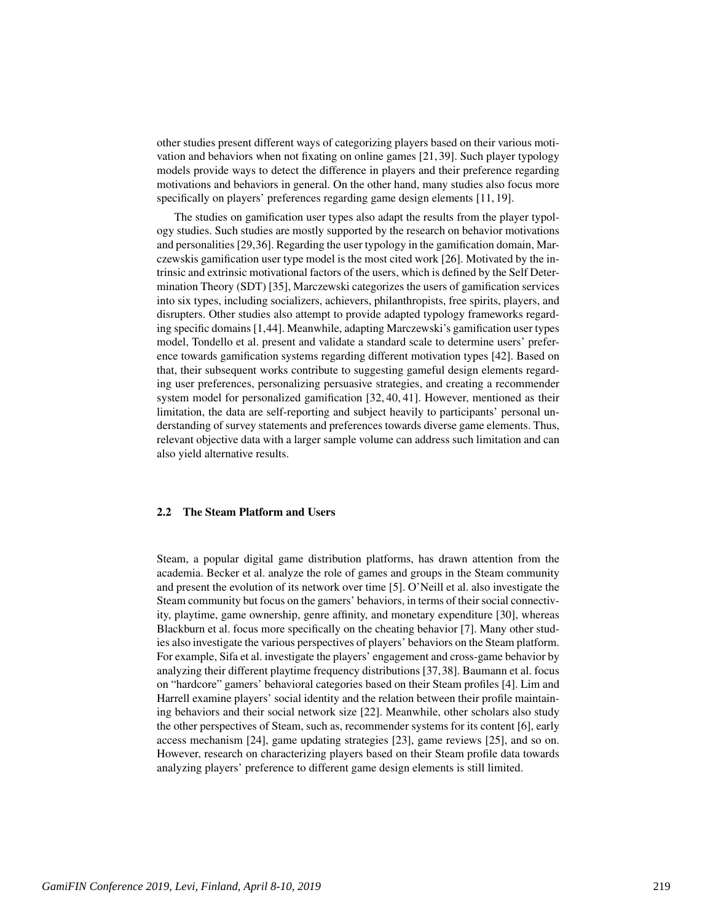other studies present different ways of categorizing players based on their various motivation and behaviors when not fixating on online games [21, 39]. Such player typology models provide ways to detect the difference in players and their preference regarding motivations and behaviors in general. On the other hand, many studies also focus more specifically on players' preferences regarding game design elements [11, 19].

The studies on gamification user types also adapt the results from the player typology studies. Such studies are mostly supported by the research on behavior motivations and personalities [29,36]. Regarding the user typology in the gamification domain, Marczewskis gamification user type model is the most cited work [26]. Motivated by the intrinsic and extrinsic motivational factors of the users, which is defined by the Self Determination Theory (SDT) [35], Marczewski categorizes the users of gamification services into six types, including socializers, achievers, philanthropists, free spirits, players, and disrupters. Other studies also attempt to provide adapted typology frameworks regarding specific domains [1,44]. Meanwhile, adapting Marczewski's gamification user types model, Tondello et al. present and validate a standard scale to determine users' preference towards gamification systems regarding different motivation types [42]. Based on that, their subsequent works contribute to suggesting gameful design elements regarding user preferences, personalizing persuasive strategies, and creating a recommender system model for personalized gamification [32, 40, 41]. However, mentioned as their limitation, the data are self-reporting and subject heavily to participants' personal understanding of survey statements and preferences towards diverse game elements. Thus, relevant objective data with a larger sample volume can address such limitation and can also yield alternative results.

## 2.2 The Steam Platform and Users

Steam, a popular digital game distribution platforms, has drawn attention from the academia. Becker et al. analyze the role of games and groups in the Steam community and present the evolution of its network over time [5]. O'Neill et al. also investigate the Steam community but focus on the gamers' behaviors, in terms of their social connectivity, playtime, game ownership, genre affinity, and monetary expenditure [30], whereas Blackburn et al. focus more specifically on the cheating behavior [7]. Many other studies also investigate the various perspectives of players' behaviors on the Steam platform. For example, Sifa et al. investigate the players' engagement and cross-game behavior by analyzing their different playtime frequency distributions [37,38]. Baumann et al. focus on "hardcore" gamers' behavioral categories based on their Steam profiles [4]. Lim and Harrell examine players' social identity and the relation between their profile maintaining behaviors and their social network size [22]. Meanwhile, other scholars also study the other perspectives of Steam, such as, recommender systems for its content [6], early access mechanism [24], game updating strategies [23], game reviews [25], and so on. However, research on characterizing players based on their Steam profile data towards analyzing players' preference to different game design elements is still limited.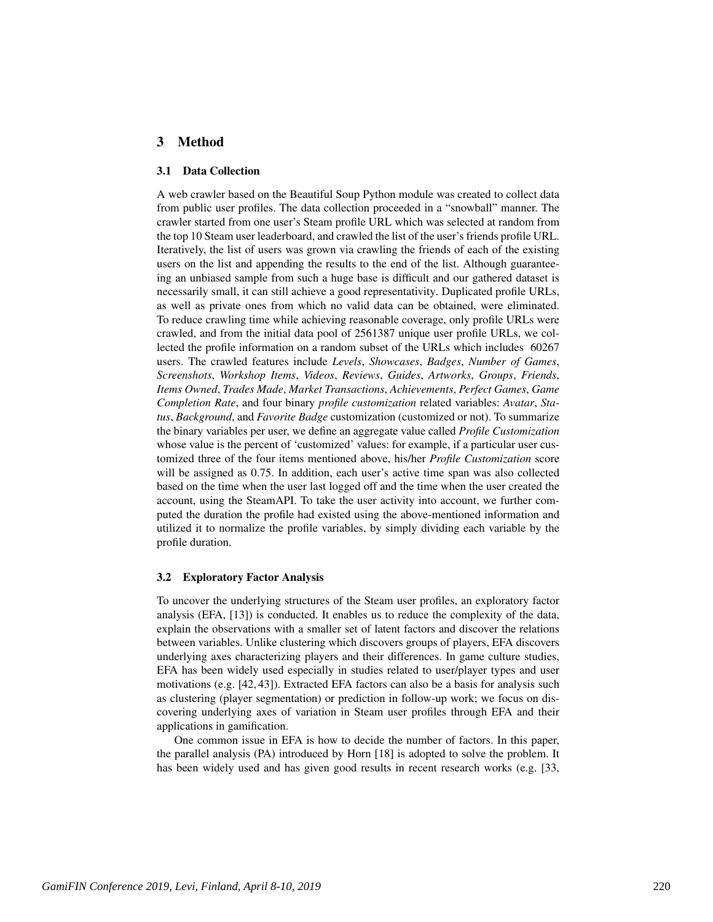# 3 Method

### 3.1 Data Collection

A web crawler based on the Beautiful Soup Python module was created to collect data from public user profiles. The data collection proceeded in a "snowball" manner. The crawler started from one user's Steam profile URL which was selected at random from the top 10 Steam user leaderboard, and crawled the list of the user's friends profile URL. Iteratively, the list of users was grown via crawling the friends of each of the existing users on the list and appending the results to the end of the list. Although guaranteeing an unbiased sample from such a huge base is difficult and our gathered dataset is necessarily small, it can still achieve a good representativity. Duplicated profile URLs, as well as private ones from which no valid data can be obtained, were eliminated. To reduce crawling time while achieving reasonable coverage, only profile URLs were crawled, and from the initial data pool of 2561387 unique user profile URLs, we collected the profile information on a random subset of the URLs which includes 60267 users. The crawled features include *Levels*, *Showcases*, *Badges*, *Number of Games*, *Screenshots*, *Workshop Items*, *Videos*, *Reviews*, *Guides*, *Artworks*, *Groups*, *Friends*, *Items Owned*, *Trades Made*, *Market Transactions*, *Achievements*, *Perfect Games*, *Game Completion Rate*, and four binary *profile customization* related variables: *Avatar*, *Status*, *Background*, and *Favorite Badge* customization (customized or not). To summarize the binary variables per user, we define an aggregate value called *Profile Customization* whose value is the percent of 'customized' values: for example, if a particular user customized three of the four items mentioned above, his/her *Profile Customization* score will be assigned as 0.75. In addition, each user's active time span was also collected based on the time when the user last logged off and the time when the user created the account, using the SteamAPI. To take the user activity into account, we further computed the duration the profile had existed using the above-mentioned information and utilized it to normalize the profile variables, by simply dividing each variable by the profile duration.

#### 3.2 Exploratory Factor Analysis

To uncover the underlying structures of the Steam user profiles, an exploratory factor analysis (EFA, [13]) is conducted. It enables us to reduce the complexity of the data, explain the observations with a smaller set of latent factors and discover the relations between variables. Unlike clustering which discovers groups of players, EFA discovers underlying axes characterizing players and their differences. In game culture studies, EFA has been widely used especially in studies related to user/player types and user motivations (e.g. [42, 43]). Extracted EFA factors can also be a basis for analysis such as clustering (player segmentation) or prediction in follow-up work; we focus on discovering underlying axes of variation in Steam user profiles through EFA and their applications in gamification.

One common issue in EFA is how to decide the number of factors. In this paper, the parallel analysis (PA) introduced by Horn [18] is adopted to solve the problem. It has been widely used and has given good results in recent research works (e.g. [33,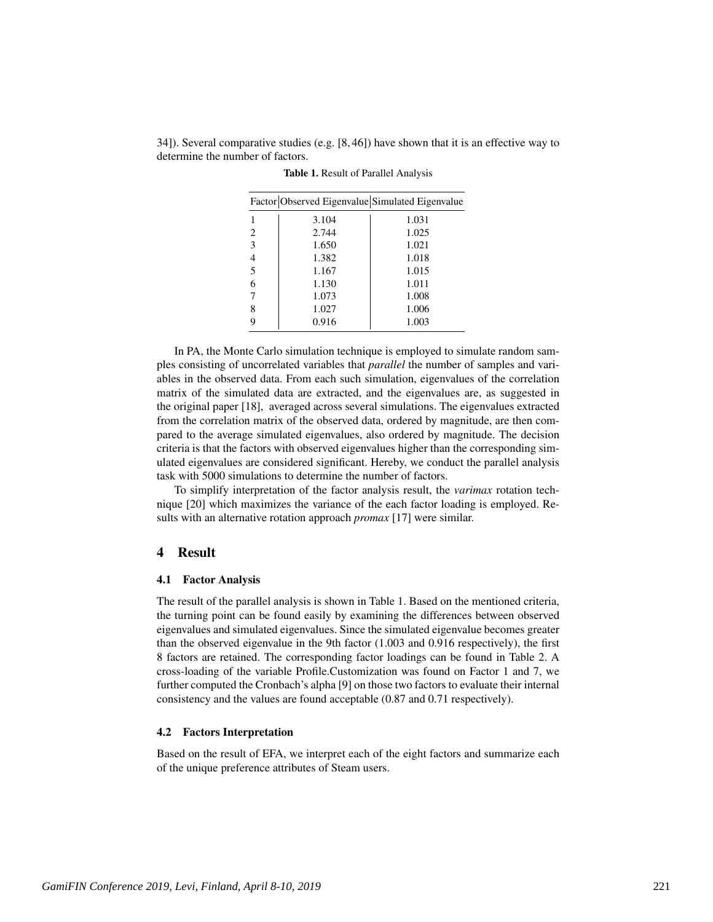34]). Several comparative studies (e.g. [8, 46]) have shown that it is an effective way to determine the number of factors.

| Factor Observed Eigenvalue Simulated Eigenvalue |       |       |  |  |  |
|-------------------------------------------------|-------|-------|--|--|--|
|                                                 | 3.104 | 1.031 |  |  |  |
| 2                                               | 2.744 | 1.025 |  |  |  |
| 3                                               | 1.650 | 1.021 |  |  |  |
| 4                                               | 1.382 | 1.018 |  |  |  |
| 5                                               | 1.167 | 1.015 |  |  |  |
| 6                                               | 1.130 | 1.011 |  |  |  |
|                                                 | 1.073 | 1.008 |  |  |  |
| 8                                               | 1.027 | 1.006 |  |  |  |
| g                                               | 0.916 | 1.003 |  |  |  |

Table 1. Result of Parallel Analysis

In PA, the Monte Carlo simulation technique is employed to simulate random samples consisting of uncorrelated variables that *parallel* the number of samples and variables in the observed data. From each such simulation, eigenvalues of the correlation matrix of the simulated data are extracted, and the eigenvalues are, as suggested in the original paper [18], averaged across several simulations. The eigenvalues extracted from the correlation matrix of the observed data, ordered by magnitude, are then compared to the average simulated eigenvalues, also ordered by magnitude. The decision criteria is that the factors with observed eigenvalues higher than the corresponding simulated eigenvalues are considered significant. Hereby, we conduct the parallel analysis task with 5000 simulations to determine the number of factors.

To simplify interpretation of the factor analysis result, the *varimax* rotation technique [20] which maximizes the variance of the each factor loading is employed. Results with an alternative rotation approach *promax* [17] were similar.

## 4 Result

#### 4.1 Factor Analysis

The result of the parallel analysis is shown in Table 1. Based on the mentioned criteria, the turning point can be found easily by examining the differences between observed eigenvalues and simulated eigenvalues. Since the simulated eigenvalue becomes greater than the observed eigenvalue in the 9th factor (1.003 and 0.916 respectively), the first 8 factors are retained. The corresponding factor loadings can be found in Table 2. A cross-loading of the variable Profile.Customization was found on Factor 1 and 7, we further computed the Cronbach's alpha [9] on those two factors to evaluate their internal consistency and the values are found acceptable (0.87 and 0.71 respectively).

#### 4.2 Factors Interpretation

Based on the result of EFA, we interpret each of the eight factors and summarize each of the unique preference attributes of Steam users.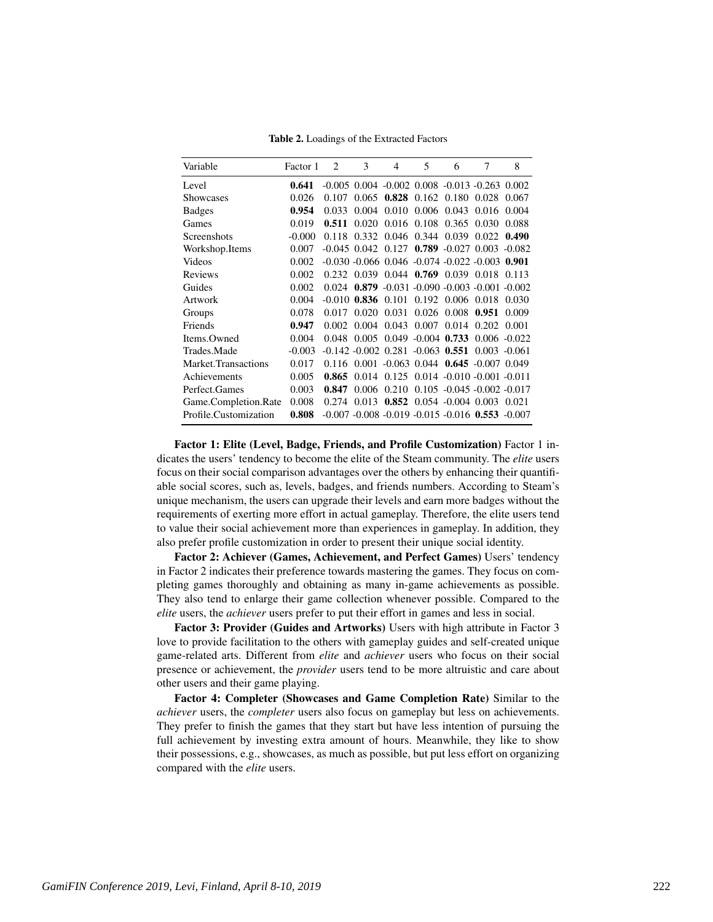Table 2. Loadings of the Extracted Factors

| Variable              | Factor 1 | $\mathcal{D}_{\mathcal{L}}$ | 3                    | 4                                        | 5                     | 6                          | 7                                                            | 8     |
|-----------------------|----------|-----------------------------|----------------------|------------------------------------------|-----------------------|----------------------------|--------------------------------------------------------------|-------|
| Level                 | 0.641    |                             |                      |                                          |                       |                            | $-0.005$ 0.004 $-0.002$ 0.008 $-0.013$ $-0.263$ 0.002        |       |
| Showcases             | 0.026    | 0.107                       | 0.065                |                                          |                       | $0.828$ 0.162 0.180        | 0.028                                                        | 0.067 |
| <b>Badges</b>         | 0.954    | 0.033                       | 0.004                | 0.010                                    | 0.006                 | 0.043                      | 0.016                                                        | 0.004 |
| Games                 | 0.019    | 0.511                       | 0.020                | 0.016                                    |                       | 0.108 0.365                | 0.030                                                        | 0.088 |
| Screenshots           | $-0.000$ |                             |                      | 0.118 0.332 0.046 0.344 0.039            |                       |                            | 0.022                                                        | 0.490 |
| Workshop.Items        | 0.007    |                             |                      |                                          |                       |                            | $-0.045$ 0.042 0.127 0.789 $-0.027$ 0.003 $-0.082$           |       |
| Videos                | 0.002    |                             |                      |                                          |                       |                            | $-0.030 - 0.066$ $0.046$ $-0.074$ $-0.022$ $-0.003$ $0.901$  |       |
| Reviews               | 0.002    | 0.232                       | 0.039                |                                          |                       | $0.044$ 0.769 0.039 0.018  |                                                              | 0.113 |
| Guides                | 0.002    |                             |                      |                                          |                       |                            | $0.024$ $0.879$ $-0.031$ $-0.090$ $-0.003$ $-0.001$ $-0.002$ |       |
| Artwork               | 0.004    |                             | $-0.010$ 0.836 0.101 |                                          |                       | 0.192 0.006 0.018          |                                                              | 0.030 |
| Groups                | 0.078    | 0.017                       | 0.020                | 0.031                                    |                       | 0.026 0.008                | 0.951                                                        | 0.009 |
| Friends               | 0.947    | 0.002                       | 0.004                | 0.043                                    | 0.007                 | 0.014                      | 0.202                                                        | 0.001 |
| Items.Owned           | 0.004    | 0.048                       | 0.005                |                                          | $0.049 - 0.004$ 0.733 |                            | $0.006 - 0.022$                                              |       |
| Trades.Made           | $-0.003$ |                             |                      | $-0.142 - 0.002$ $0.281 - 0.063$ $0.551$ |                       |                            | $0.003 - 0.061$                                              |       |
| Market.Transactions   | 0.017    |                             |                      |                                          |                       |                            | $0.116$ $0.001$ $-0.063$ $0.044$ $0.645$ $-0.007$ $0.049$    |       |
| Achievements          | 0.005    | 0.865                       | 0.014                |                                          |                       |                            | $0.125$ $0.014$ $-0.010$ $-0.001$ $-0.011$                   |       |
| Perfect.Games         | 0.003    | 0.847                       | 0.006                | 0.210                                    |                       |                            | $0.105 - 0.045 - 0.002 - 0.017$                              |       |
| Game.Completion.Rate  | 0.008    | 0.274                       | 0.013                |                                          |                       | $0.852$ 0.054 -0.004 0.003 |                                                              | 0.021 |
| Profile.Customization | 0.808    |                             |                      |                                          |                       |                            | $-0.007 - 0.008 - 0.019 - 0.015 - 0.016$ 0.553 $-0.007$      |       |

Factor 1: Elite (Level, Badge, Friends, and Profile Customization) Factor 1 indicates the users' tendency to become the elite of the Steam community. The *elite* users focus on their social comparison advantages over the others by enhancing their quantifiable social scores, such as, levels, badges, and friends numbers. According to Steam's unique mechanism, the users can upgrade their levels and earn more badges without the requirements of exerting more effort in actual gameplay. Therefore, the elite users tend to value their social achievement more than experiences in gameplay. In addition, they also prefer profile customization in order to present their unique social identity.

Factor 2: Achiever (Games, Achievement, and Perfect Games) Users' tendency in Factor 2 indicates their preference towards mastering the games. They focus on completing games thoroughly and obtaining as many in-game achievements as possible. They also tend to enlarge their game collection whenever possible. Compared to the *elite* users, the *achiever* users prefer to put their effort in games and less in social.

Factor 3: Provider (Guides and Artworks) Users with high attribute in Factor 3 love to provide facilitation to the others with gameplay guides and self-created unique game-related arts. Different from *elite* and *achiever* users who focus on their social presence or achievement, the *provider* users tend to be more altruistic and care about other users and their game playing.

Factor 4: Completer (Showcases and Game Completion Rate) Similar to the *achiever* users, the *completer* users also focus on gameplay but less on achievements. They prefer to finish the games that they start but have less intention of pursuing the full achievement by investing extra amount of hours. Meanwhile, they like to show their possessions, e.g., showcases, as much as possible, but put less effort on organizing compared with the *elite* users.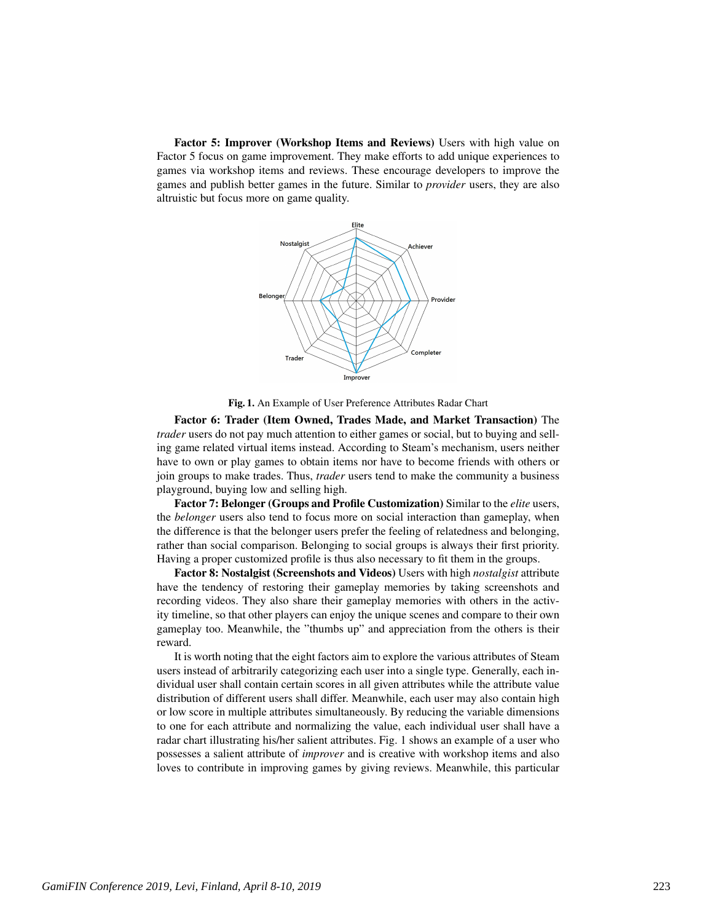Factor 5: Improver (Workshop Items and Reviews) Users with high value on Factor 5 focus on game improvement. They make efforts to add unique experiences to games via workshop items and reviews. These encourage developers to improve the games and publish better games in the future. Similar to *provider* users, they are also altruistic but focus more on game quality.



Fig. 1. An Example of User Preference Attributes Radar Chart

Factor 6: Trader (Item Owned, Trades Made, and Market Transaction) The *trader* users do not pay much attention to either games or social, but to buying and selling game related virtual items instead. According to Steam's mechanism, users neither have to own or play games to obtain items nor have to become friends with others or join groups to make trades. Thus, *trader* users tend to make the community a business playground, buying low and selling high.

Factor 7: Belonger (Groups and Profile Customization) Similar to the *elite* users, the *belonger* users also tend to focus more on social interaction than gameplay, when the difference is that the belonger users prefer the feeling of relatedness and belonging, rather than social comparison. Belonging to social groups is always their first priority. Having a proper customized profile is thus also necessary to fit them in the groups.

Factor 8: Nostalgist (Screenshots and Videos) Users with high *nostalgist* attribute have the tendency of restoring their gameplay memories by taking screenshots and recording videos. They also share their gameplay memories with others in the activity timeline, so that other players can enjoy the unique scenes and compare to their own gameplay too. Meanwhile, the "thumbs up" and appreciation from the others is their reward.

It is worth noting that the eight factors aim to explore the various attributes of Steam users instead of arbitrarily categorizing each user into a single type. Generally, each individual user shall contain certain scores in all given attributes while the attribute value distribution of different users shall differ. Meanwhile, each user may also contain high or low score in multiple attributes simultaneously. By reducing the variable dimensions to one for each attribute and normalizing the value, each individual user shall have a radar chart illustrating his/her salient attributes. Fig. 1 shows an example of a user who possesses a salient attribute of *improver* and is creative with workshop items and also loves to contribute in improving games by giving reviews. Meanwhile, this particular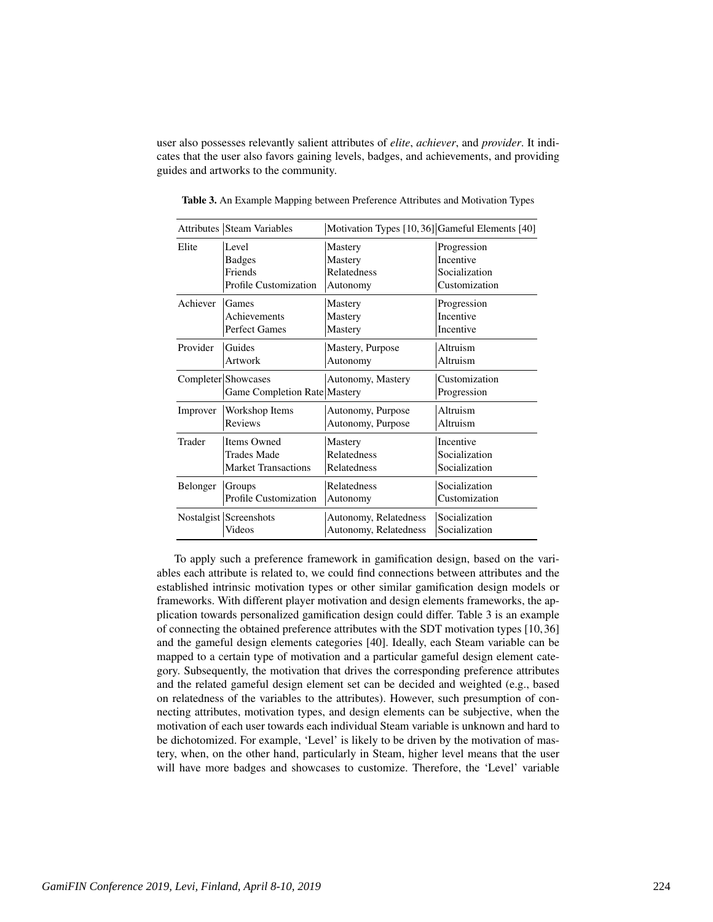user also possesses relevantly salient attributes of *elite*, *achiever*, and *provider*. It indicates that the user also favors gaining levels, badges, and achievements, and providing guides and artworks to the community.

|          | <b>Attributes Steam Variables</b> | Motivation Types [10, 36] Gameful Elements [40] |               |
|----------|-----------------------------------|-------------------------------------------------|---------------|
| Elite    | Level                             | Mastery                                         | Progression   |
|          | <b>Badges</b>                     | Mastery                                         | Incentive     |
|          | Friends                           | Relatedness                                     | Socialization |
|          | Profile Customization             | Autonomy                                        | Customization |
| Achiever | Games                             | Mastery                                         | Progression   |
|          | Achievements                      | Mastery                                         | Incentive     |
|          | <b>Perfect Games</b>              | Mastery                                         | Incentive     |
| Provider | Guides                            | Mastery, Purpose                                | Altruism      |
|          | Artwork                           | Autonomy                                        | Altruism      |
|          | Completer Showcases               | Autonomy, Mastery                               | Customization |
|          | Game Completion Rate Mastery      |                                                 | Progression   |
| Improver | Workshop Items                    | Autonomy, Purpose                               | Altruism      |
|          | Reviews                           | Autonomy, Purpose                               | Altruism      |
| Trader   | <b>Items Owned</b>                | Mastery                                         | Incentive     |
|          | <b>Trades Made</b>                | Relatedness                                     | Socialization |
|          | <b>Market Transactions</b>        | Relatedness                                     | Socialization |
| Belonger | Groups                            | Relatedness                                     | Socialization |
|          | Profile Customization             | Autonomy                                        | Customization |
|          | Nostalgist Screenshots            | Autonomy, Relatedness                           | Socialization |
|          | Videos                            | Autonomy, Relatedness                           | Socialization |

Table 3. An Example Mapping between Preference Attributes and Motivation Types

To apply such a preference framework in gamification design, based on the variables each attribute is related to, we could find connections between attributes and the established intrinsic motivation types or other similar gamification design models or frameworks. With different player motivation and design elements frameworks, the application towards personalized gamification design could differ. Table 3 is an example of connecting the obtained preference attributes with the SDT motivation types [10, 36] and the gameful design elements categories [40]. Ideally, each Steam variable can be mapped to a certain type of motivation and a particular gameful design element category. Subsequently, the motivation that drives the corresponding preference attributes and the related gameful design element set can be decided and weighted (e.g., based on relatedness of the variables to the attributes). However, such presumption of connecting attributes, motivation types, and design elements can be subjective, when the motivation of each user towards each individual Steam variable is unknown and hard to be dichotomized. For example, 'Level' is likely to be driven by the motivation of mastery, when, on the other hand, particularly in Steam, higher level means that the user will have more badges and showcases to customize. Therefore, the 'Level' variable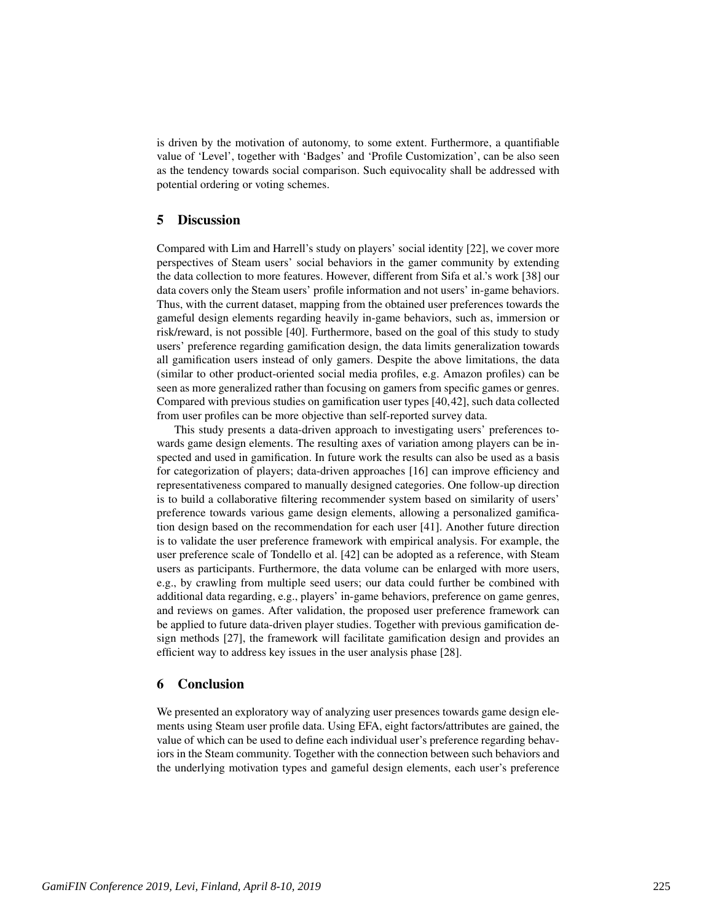is driven by the motivation of autonomy, to some extent. Furthermore, a quantifiable value of 'Level', together with 'Badges' and 'Profile Customization', can be also seen as the tendency towards social comparison. Such equivocality shall be addressed with potential ordering or voting schemes.

# 5 Discussion

Compared with Lim and Harrell's study on players' social identity [22], we cover more perspectives of Steam users' social behaviors in the gamer community by extending the data collection to more features. However, different from Sifa et al.'s work [38] our data covers only the Steam users' profile information and not users' in-game behaviors. Thus, with the current dataset, mapping from the obtained user preferences towards the gameful design elements regarding heavily in-game behaviors, such as, immersion or risk/reward, is not possible [40]. Furthermore, based on the goal of this study to study users' preference regarding gamification design, the data limits generalization towards all gamification users instead of only gamers. Despite the above limitations, the data (similar to other product-oriented social media profiles, e.g. Amazon profiles) can be seen as more generalized rather than focusing on gamers from specific games or genres. Compared with previous studies on gamification user types [40,42], such data collected from user profiles can be more objective than self-reported survey data.

This study presents a data-driven approach to investigating users' preferences towards game design elements. The resulting axes of variation among players can be inspected and used in gamification. In future work the results can also be used as a basis for categorization of players; data-driven approaches [16] can improve efficiency and representativeness compared to manually designed categories. One follow-up direction is to build a collaborative filtering recommender system based on similarity of users' preference towards various game design elements, allowing a personalized gamification design based on the recommendation for each user [41]. Another future direction is to validate the user preference framework with empirical analysis. For example, the user preference scale of Tondello et al. [42] can be adopted as a reference, with Steam users as participants. Furthermore, the data volume can be enlarged with more users, e.g., by crawling from multiple seed users; our data could further be combined with additional data regarding, e.g., players' in-game behaviors, preference on game genres, and reviews on games. After validation, the proposed user preference framework can be applied to future data-driven player studies. Together with previous gamification design methods [27], the framework will facilitate gamification design and provides an efficient way to address key issues in the user analysis phase [28].

# 6 Conclusion

We presented an exploratory way of analyzing user presences towards game design elements using Steam user profile data. Using EFA, eight factors/attributes are gained, the value of which can be used to define each individual user's preference regarding behaviors in the Steam community. Together with the connection between such behaviors and the underlying motivation types and gameful design elements, each user's preference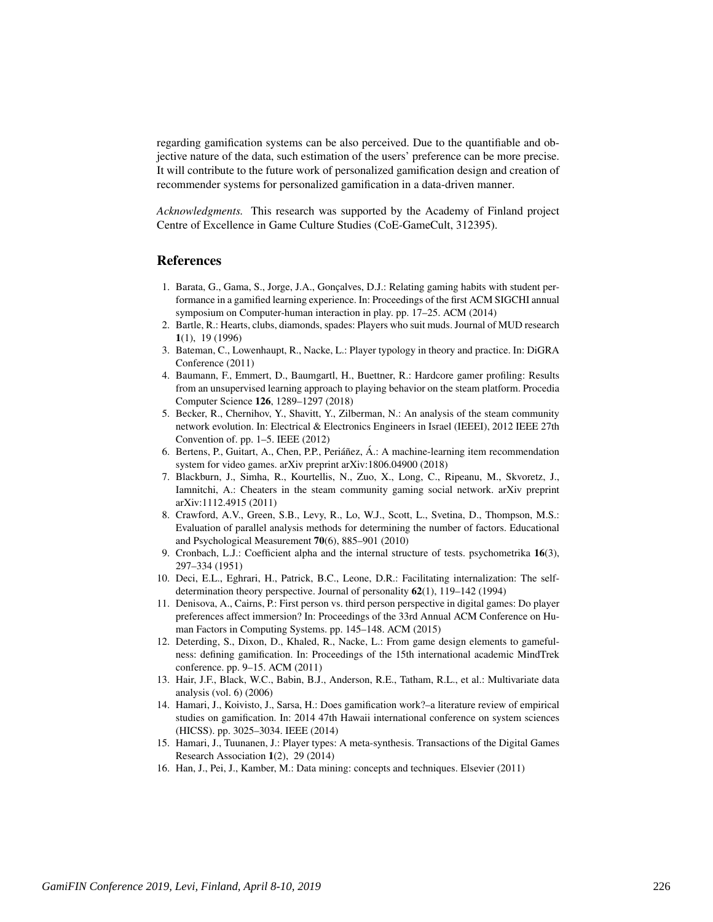regarding gamification systems can be also perceived. Due to the quantifiable and objective nature of the data, such estimation of the users' preference can be more precise. It will contribute to the future work of personalized gamification design and creation of recommender systems for personalized gamification in a data-driven manner.

*Acknowledgments.* This research was supported by the Academy of Finland project Centre of Excellence in Game Culture Studies (CoE-GameCult, 312395).

## References

- 1. Barata, G., Gama, S., Jorge, J.A., Gonçalves, D.J.: Relating gaming habits with student performance in a gamified learning experience. In: Proceedings of the first ACM SIGCHI annual symposium on Computer-human interaction in play. pp. 17–25. ACM (2014)
- 2. Bartle, R.: Hearts, clubs, diamonds, spades: Players who suit muds. Journal of MUD research 1(1), 19 (1996)
- 3. Bateman, C., Lowenhaupt, R., Nacke, L.: Player typology in theory and practice. In: DiGRA Conference (2011)
- 4. Baumann, F., Emmert, D., Baumgartl, H., Buettner, R.: Hardcore gamer profiling: Results from an unsupervised learning approach to playing behavior on the steam platform. Procedia Computer Science 126, 1289–1297 (2018)
- 5. Becker, R., Chernihov, Y., Shavitt, Y., Zilberman, N.: An analysis of the steam community network evolution. In: Electrical & Electronics Engineers in Israel (IEEEI), 2012 IEEE 27th Convention of. pp. 1–5. IEEE (2012)
- 6. Bertens, P., Guitart, A., Chen, P.P., Periañez, Á.: A machine-learning item recommendation system for video games. arXiv preprint arXiv:1806.04900 (2018)
- 7. Blackburn, J., Simha, R., Kourtellis, N., Zuo, X., Long, C., Ripeanu, M., Skvoretz, J., Iamnitchi, A.: Cheaters in the steam community gaming social network. arXiv preprint arXiv:1112.4915 (2011)
- 8. Crawford, A.V., Green, S.B., Levy, R., Lo, W.J., Scott, L., Svetina, D., Thompson, M.S.: Evaluation of parallel analysis methods for determining the number of factors. Educational and Psychological Measurement 70(6), 885–901 (2010)
- 9. Cronbach, L.J.: Coefficient alpha and the internal structure of tests. psychometrika 16(3), 297–334 (1951)
- 10. Deci, E.L., Eghrari, H., Patrick, B.C., Leone, D.R.: Facilitating internalization: The selfdetermination theory perspective. Journal of personality 62(1), 119–142 (1994)
- 11. Denisova, A., Cairns, P.: First person vs. third person perspective in digital games: Do player preferences affect immersion? In: Proceedings of the 33rd Annual ACM Conference on Human Factors in Computing Systems. pp. 145–148. ACM (2015)
- 12. Deterding, S., Dixon, D., Khaled, R., Nacke, L.: From game design elements to gamefulness: defining gamification. In: Proceedings of the 15th international academic MindTrek conference. pp. 9–15. ACM (2011)
- 13. Hair, J.F., Black, W.C., Babin, B.J., Anderson, R.E., Tatham, R.L., et al.: Multivariate data analysis (vol. 6) (2006)
- 14. Hamari, J., Koivisto, J., Sarsa, H.: Does gamification work?–a literature review of empirical studies on gamification. In: 2014 47th Hawaii international conference on system sciences (HICSS). pp. 3025–3034. IEEE (2014)
- 15. Hamari, J., Tuunanen, J.: Player types: A meta-synthesis. Transactions of the Digital Games Research Association 1(2), 29 (2014)
- 16. Han, J., Pei, J., Kamber, M.: Data mining: concepts and techniques. Elsevier (2011)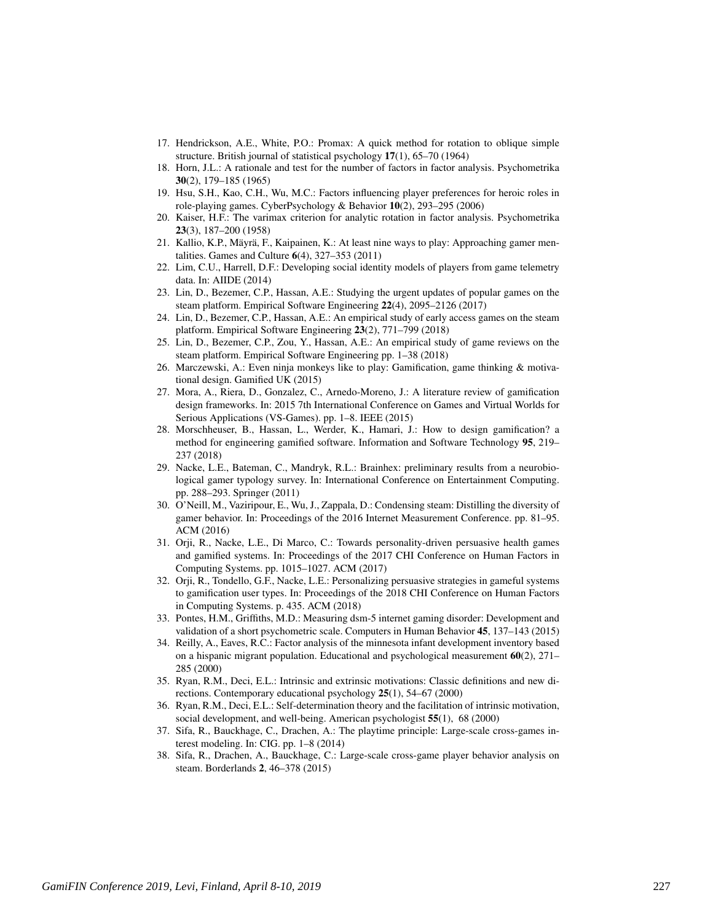- 17. Hendrickson, A.E., White, P.O.: Promax: A quick method for rotation to oblique simple structure. British journal of statistical psychology 17(1), 65–70 (1964)
- 18. Horn, J.L.: A rationale and test for the number of factors in factor analysis. Psychometrika 30(2), 179–185 (1965)
- 19. Hsu, S.H., Kao, C.H., Wu, M.C.: Factors influencing player preferences for heroic roles in role-playing games. CyberPsychology & Behavior 10(2), 293–295 (2006)
- 20. Kaiser, H.F.: The varimax criterion for analytic rotation in factor analysis. Psychometrika 23(3), 187–200 (1958)
- 21. Kallio, K.P., Mäyrä, F., Kaipainen, K.: At least nine ways to play: Approaching gamer mentalities. Games and Culture  $6(4)$ , 327–353 (2011)
- 22. Lim, C.U., Harrell, D.F.: Developing social identity models of players from game telemetry data. In: AIIDE (2014)
- 23. Lin, D., Bezemer, C.P., Hassan, A.E.: Studying the urgent updates of popular games on the steam platform. Empirical Software Engineering 22(4), 2095–2126 (2017)
- 24. Lin, D., Bezemer, C.P., Hassan, A.E.: An empirical study of early access games on the steam platform. Empirical Software Engineering 23(2), 771–799 (2018)
- 25. Lin, D., Bezemer, C.P., Zou, Y., Hassan, A.E.: An empirical study of game reviews on the steam platform. Empirical Software Engineering pp. 1–38 (2018)
- 26. Marczewski, A.: Even ninja monkeys like to play: Gamification, game thinking & motivational design. Gamified UK (2015)
- 27. Mora, A., Riera, D., Gonzalez, C., Arnedo-Moreno, J.: A literature review of gamification design frameworks. In: 2015 7th International Conference on Games and Virtual Worlds for Serious Applications (VS-Games). pp. 1–8. IEEE (2015)
- 28. Morschheuser, B., Hassan, L., Werder, K., Hamari, J.: How to design gamification? a method for engineering gamified software. Information and Software Technology 95, 219– 237 (2018)
- 29. Nacke, L.E., Bateman, C., Mandryk, R.L.: Brainhex: preliminary results from a neurobiological gamer typology survey. In: International Conference on Entertainment Computing. pp. 288–293. Springer (2011)
- 30. O'Neill, M., Vaziripour, E., Wu, J., Zappala, D.: Condensing steam: Distilling the diversity of gamer behavior. In: Proceedings of the 2016 Internet Measurement Conference. pp. 81–95. ACM (2016)
- 31. Orji, R., Nacke, L.E., Di Marco, C.: Towards personality-driven persuasive health games and gamified systems. In: Proceedings of the 2017 CHI Conference on Human Factors in Computing Systems. pp. 1015–1027. ACM (2017)
- 32. Orji, R., Tondello, G.F., Nacke, L.E.: Personalizing persuasive strategies in gameful systems to gamification user types. In: Proceedings of the 2018 CHI Conference on Human Factors in Computing Systems. p. 435. ACM (2018)
- 33. Pontes, H.M., Griffiths, M.D.: Measuring dsm-5 internet gaming disorder: Development and validation of a short psychometric scale. Computers in Human Behavior 45, 137–143 (2015)
- 34. Reilly, A., Eaves, R.C.: Factor analysis of the minnesota infant development inventory based on a hispanic migrant population. Educational and psychological measurement  $60(2)$ ,  $271-$ 285 (2000)
- 35. Ryan, R.M., Deci, E.L.: Intrinsic and extrinsic motivations: Classic definitions and new directions. Contemporary educational psychology 25(1), 54–67 (2000)
- 36. Ryan, R.M., Deci, E.L.: Self-determination theory and the facilitation of intrinsic motivation, social development, and well-being. American psychologist 55(1), 68 (2000)
- 37. Sifa, R., Bauckhage, C., Drachen, A.: The playtime principle: Large-scale cross-games interest modeling. In: CIG. pp. 1–8 (2014)
- 38. Sifa, R., Drachen, A., Bauckhage, C.: Large-scale cross-game player behavior analysis on steam. Borderlands 2, 46–378 (2015)